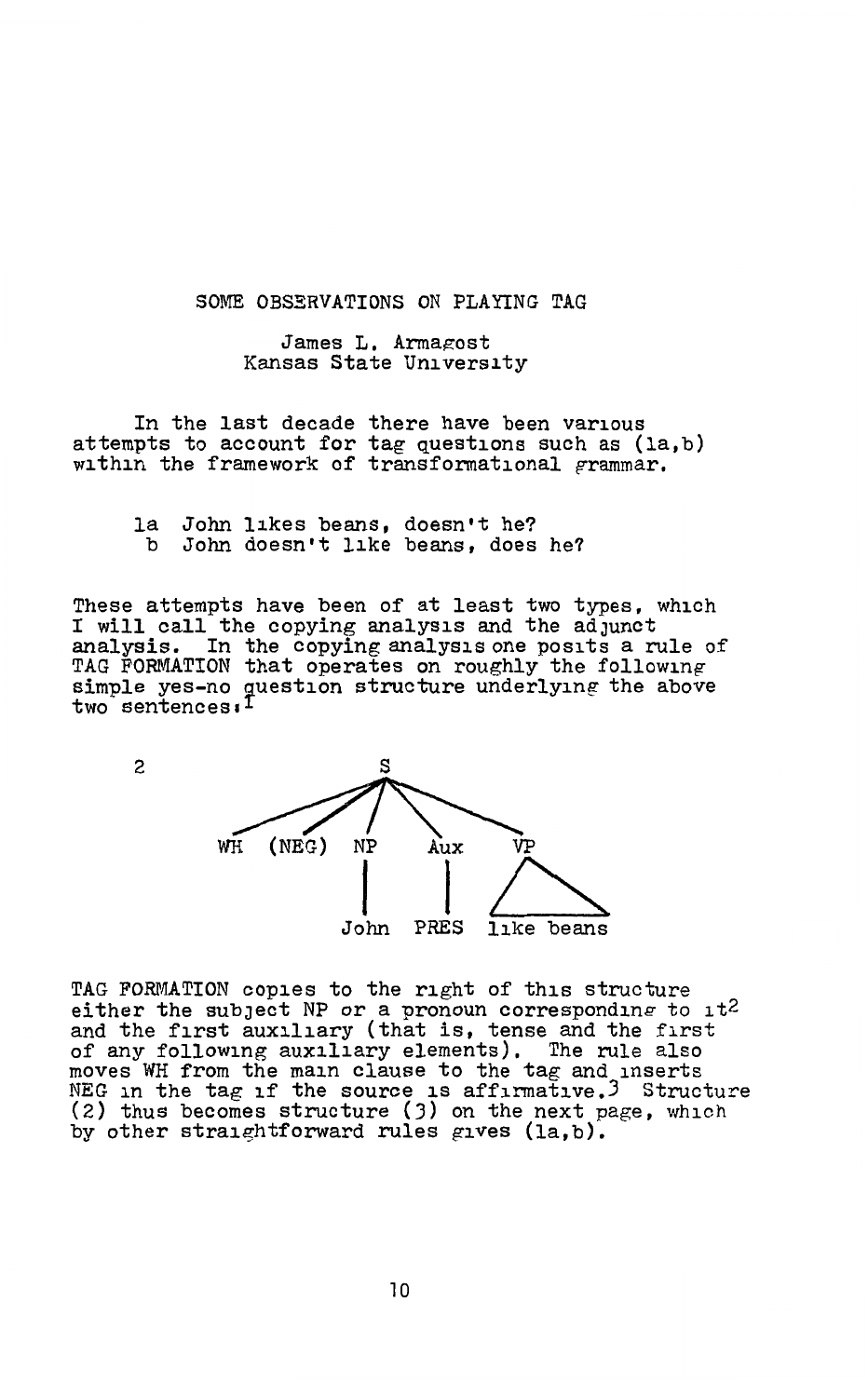SOME OBSERVATIONS ON PLAYING TAG

James L. Armagost Kansas State University

In the last decade there have been various attempts to account for tag questions such as  $(la,b)$  within the framework of transformational grammar.

la John likes beans, doesn't he?<br>b John doesn't like beans, does John doesn't like beans, does he?

These attempts have been of at least two types, which I will call the copying analysis and the adjunct analysis. In the copying analysis one posits a rule of TAG FORMATION that operates on roughly the following simple yes-no guestion structure underlying the above two sentences.<sup>1</sup>



TAG FORMATION copies to the right of this structure either the subject NP or a pronoun corresponding to  $1t^2$ and the first auxiliary (that is, tense and the first of any following auxiliary elements). The rule also moves WH from the main clause to the tag and inserts<br>NEG in the tag if the source is affirmative.<sup>3</sup> Structure {2} thus becomes structure {J) on the next page, which by other straightforward rules gives  $(la,b)$ .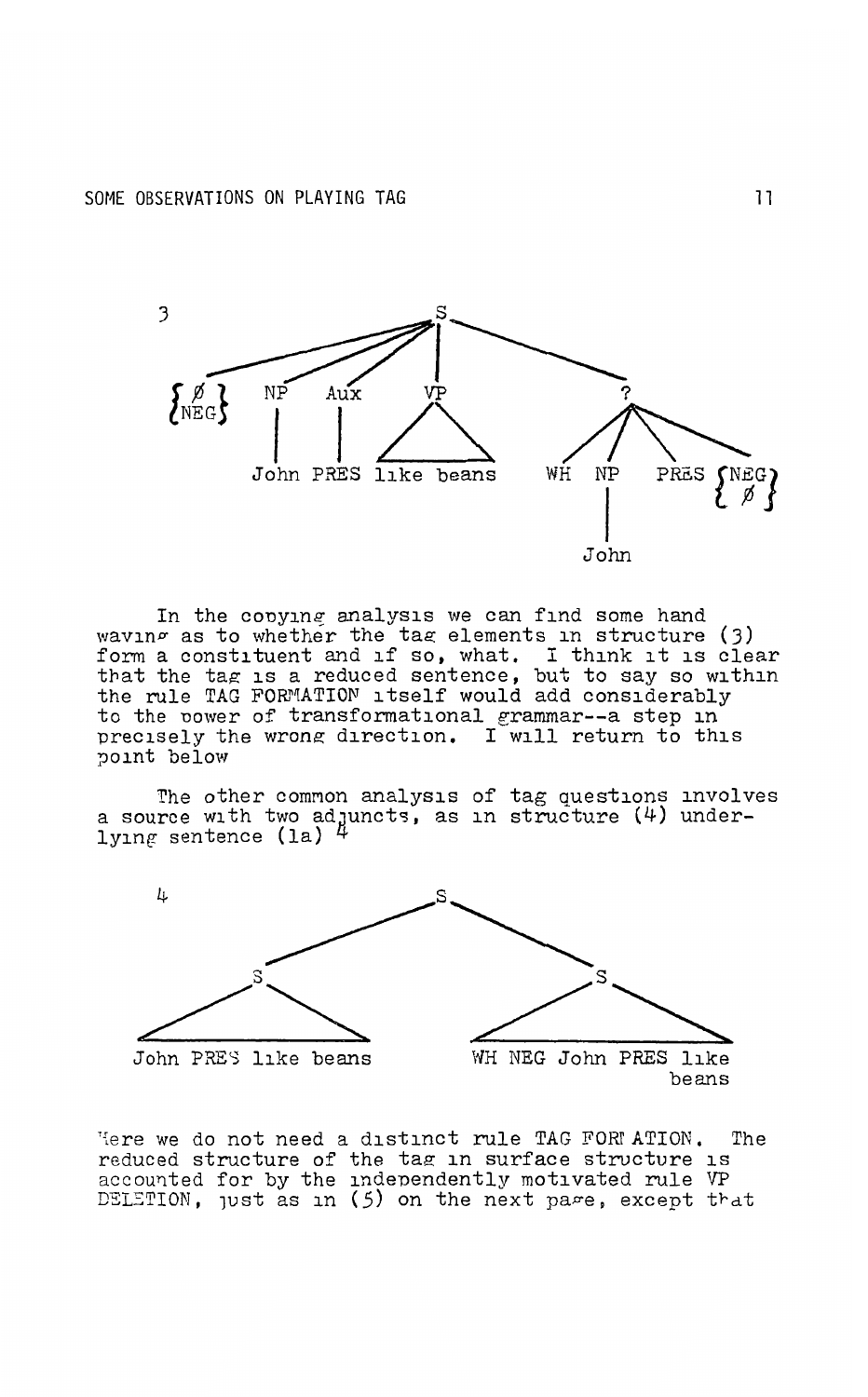

In the copying analysis we can find some hand waving as to whether the tag elements in structure (3) form a constituent and if so, what. I think it is clear that the tag is a reduced sentence, but to say so within the rule TAG FORMATION itself would add considerably to the power of transformational grammar--a step in precisely the wrong direction. I will return to this point below

The other common analysis of tag questions involves a source with two adjuncts, as in structure  $(4)$  under-<br>lying sentence (la)  $4$ 



Here we do not need a distinct rule TAG FORM ATION. The reduced structure of the tag in surface structure is accounted for by the independently motivated rule VP DELETION, just as in (5) on the next page, except that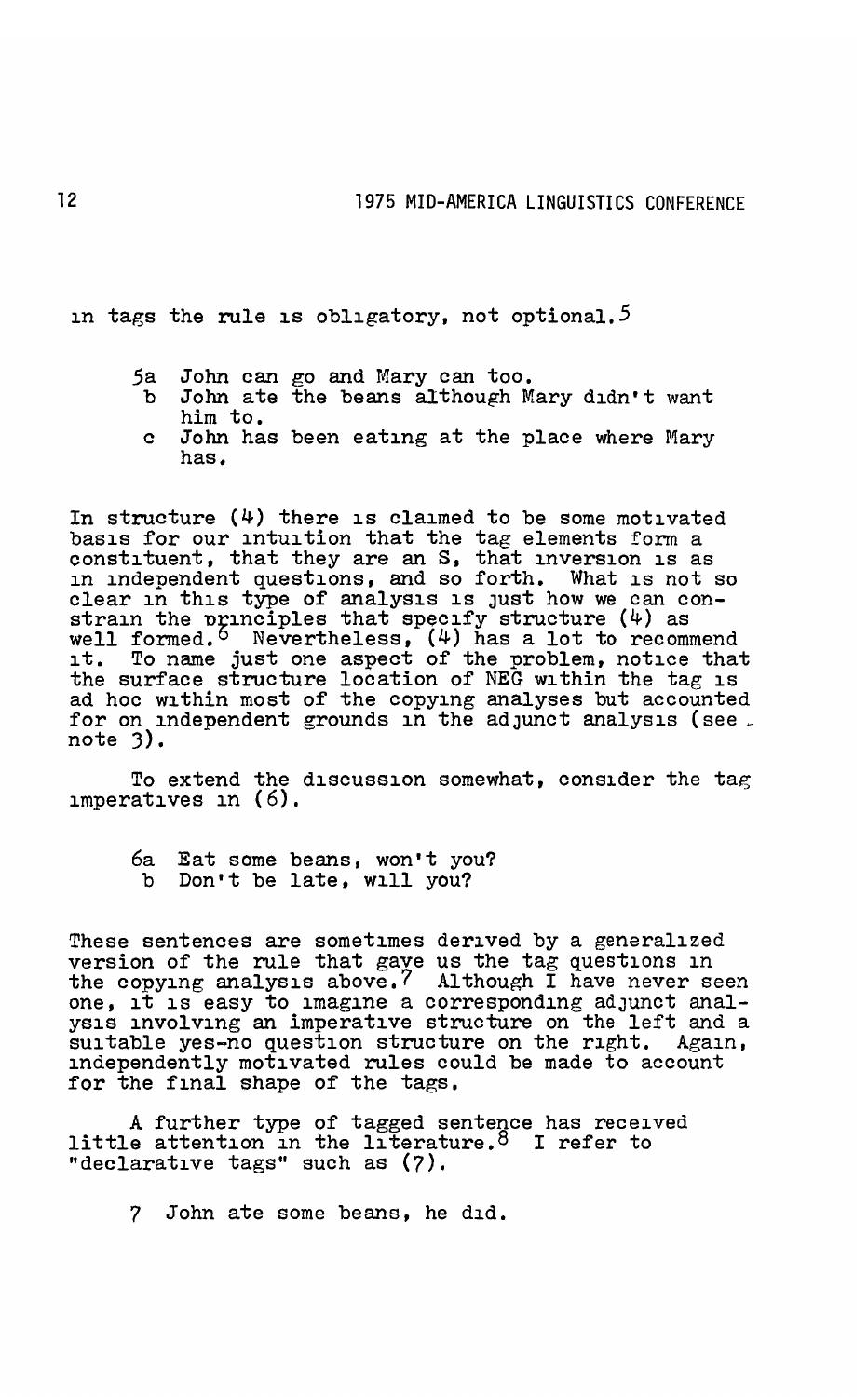in tags the rule is obligatory, not optional.<sup>5</sup>

- 5a John can go and Mary can too.<br>b John ate the beans although M
- John ate the beans although Mary didn't want him to.
- c John has been eating at the place where Mary has.

In structure (4) there is claimed to be some motivated basis for our intuition that the tag elements form a constituent, that they are an S, that inversion is as in independent questions, and so forth. What is not so clear in this type of analysis is Just how we can constrain the principles that specify structure  $(4)$  as well formed.<sup>5</sup> Nevertheless,  $(4)$  has a lot to recommend it. To name just one aspect of the problem, notice that the surface structure location of NEG within the tag is ad hoc within most of the copying analyses but accounted for on independent grounds in the adjunct analysis (see. note 3).

To extend the discussion somewhat, consider the tag imperatives in (6).

6a Eat some beans, won't you? b Don't be late, will you?

These sentences are sometimes derived by a generalized version of the rule that gave us the tag questions in the copying analysis above.7 Although I have never seen one, it is easy to imagine a corresponding adJunct analysis involving an imperative structure on the left and a suitable yes-no question structure on the right. Again, independently motivated rules could be made to account for the final shape of the tags.

A further type of tagged sentence has received little attention in the literature.<sup>8</sup> I refer to "declarative tags" such as (7),

7 John ate some beans, he did.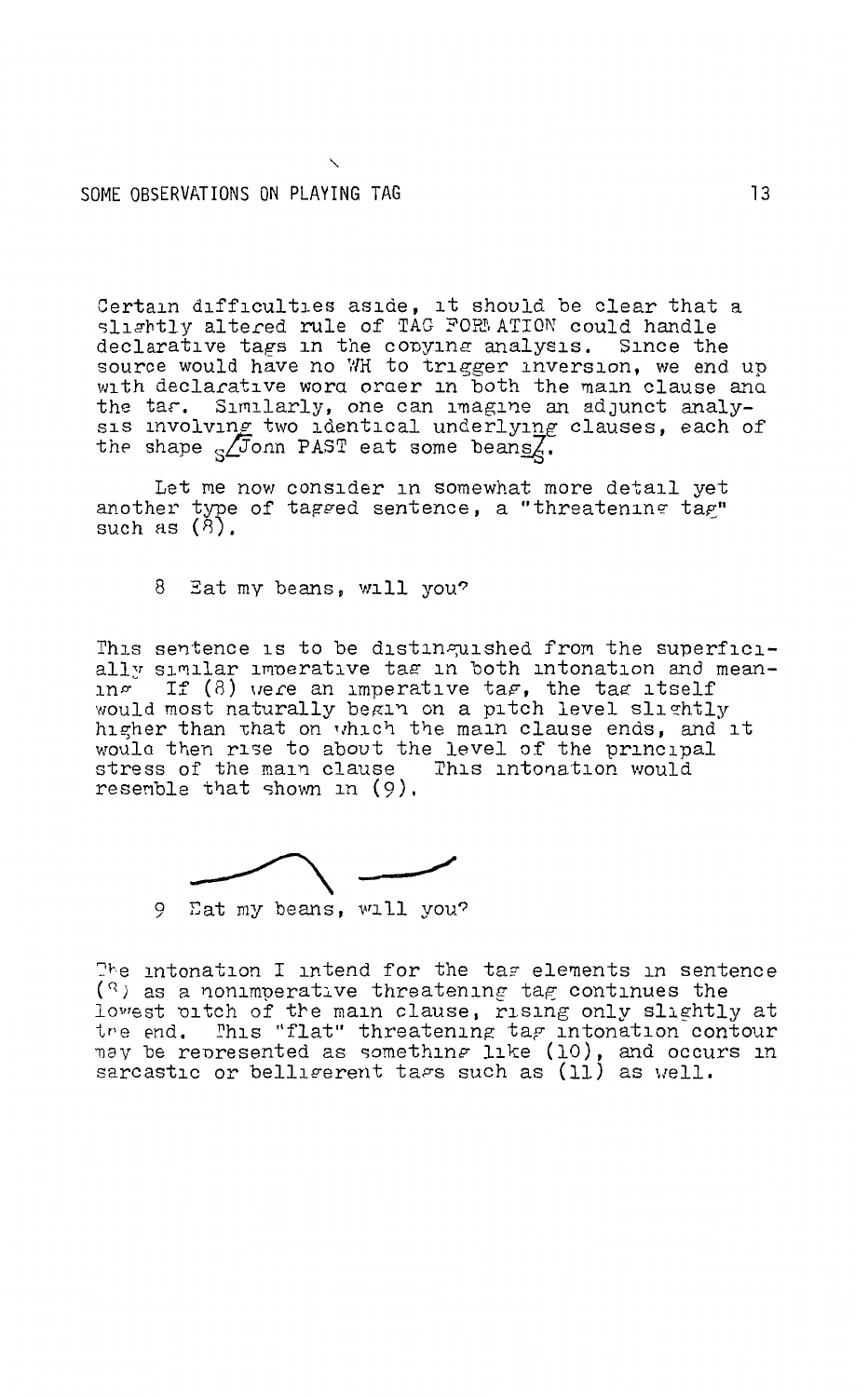## SOME OBSERVATIONS ON PLAYING TAG

Certain difficulties aside, it should be clear that a slightly altered rule of TAG FORM ATION could handle declarative tags in the copying analysis. Since the source would have no WH to trigger inversion, we end up with declarative word order in both the main clause and the tar. Similarly, one can imagine an adjunct analysis involving two identical underlying clauses, each of the shape  $\sqrt{5}$ onn PAST eat some beans $\overline{Z}$ .

Let me now consider in somewhat more detail yet another type of tagged sentence, a "threatening tag" such as  $(8)$ .

8 Eat my beans, will you?

This sentence is to be distinguished from the superficially similar imperative tag in both intonation and mean-<br>in  $\sigma$  If (8) were an imperative tag, the tag itself<br>would most naturally begin on a pitch level slightly higher than that on which the main clause ends, and it would then rise to about the level of the principal stress of the main clause This intonation would resemble that shown in  $(9)$ .



The intonation I intend for the tag elements in sentence  $(3)$  as a nonimperative threatening tag continues the lowest oitch of the main clause, rising only slightly at the end. This "flat" threatening tag intonation contour may be represented as something like (10), and occurs in sarcastic or belligerent tags such as (11) as well.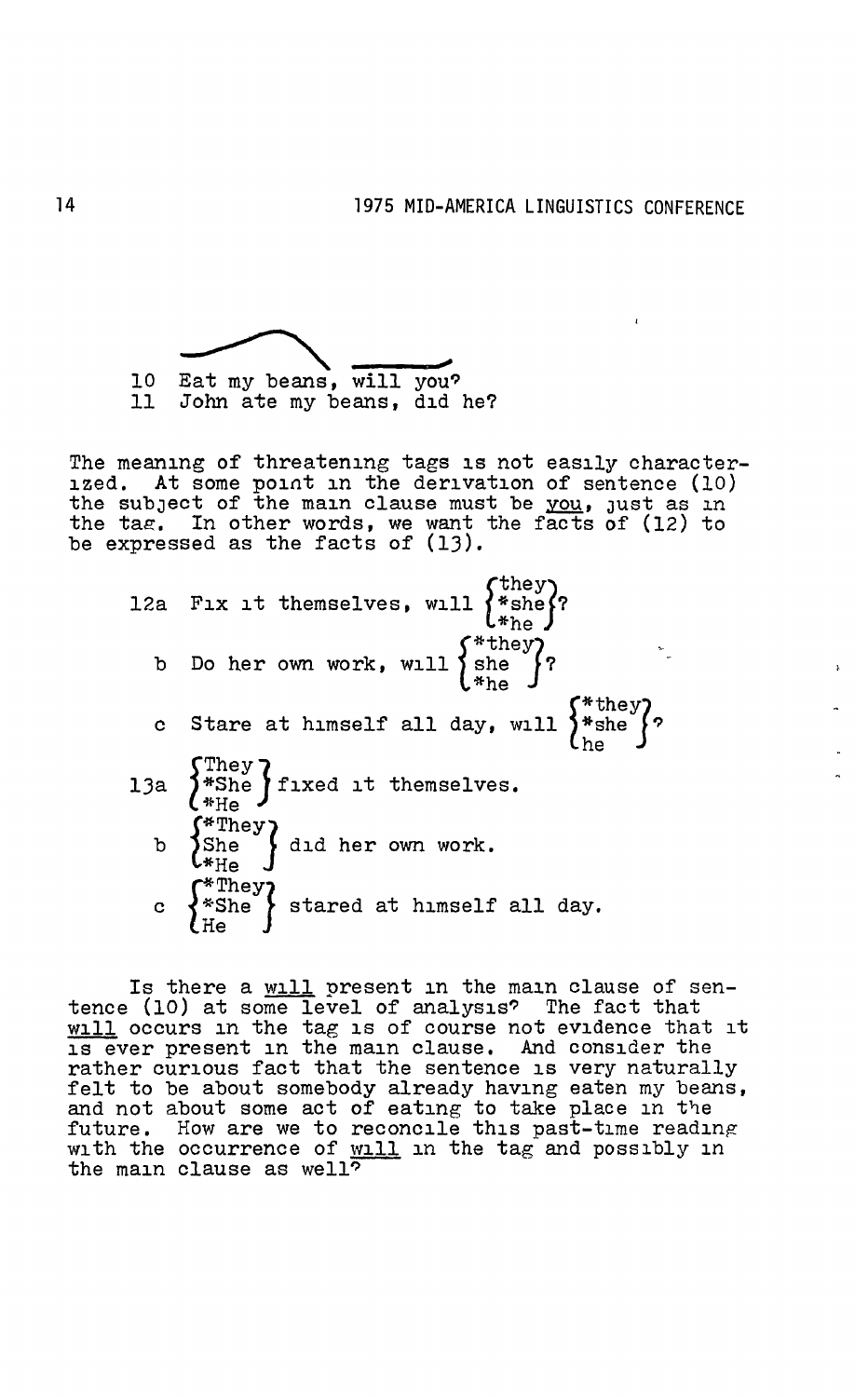

The meaning of threatening tags is not easily characterized. At some point in the derivation of sentence (10) the subject of the main clause must be you, just as in the tae. In other words, we want the facts of (12) to be expressed as the facts of  $(13)$ .

12a Fix it themselves, will  $\begin{Bmatrix} \text{they} \\ \text{*she} \end{Bmatrix}$ ? b Do her own work, will  $\begin{cases} *$  they ? c Stare at himself all day, will  $\left\{\begin{matrix} * & * \\ * & * \end{matrix}\right\}$ 13a  $\left\{\begin{array}{l}\text{They}\\\text{*She}\end{array}\right\}$  fixed it themselves. b  $\left\{ \sup_{n=1}^{\infty} \right\}$  did her own work. \*He c  $\left\{\begin{array}{l}\n\text{*She} \\
\text{*She} \\
\text{He}\n\end{array}\right\}$  stared at himself all day.

Is there a will present in the main clause of sentence (10) at some level of analysis? The fact that will occurs in the tag is of course not evidence that it is ever present in the main clause. And consider the rather curious fact that the sentence is very naturally rather curious fact that the sentence is very naturally felt to be about somebody already having eaten my beans, and not about some act of eating to take place in the future. How are we to reconcile this past-time reading with the occurrence of will in the tag and possibly in the main clause as well?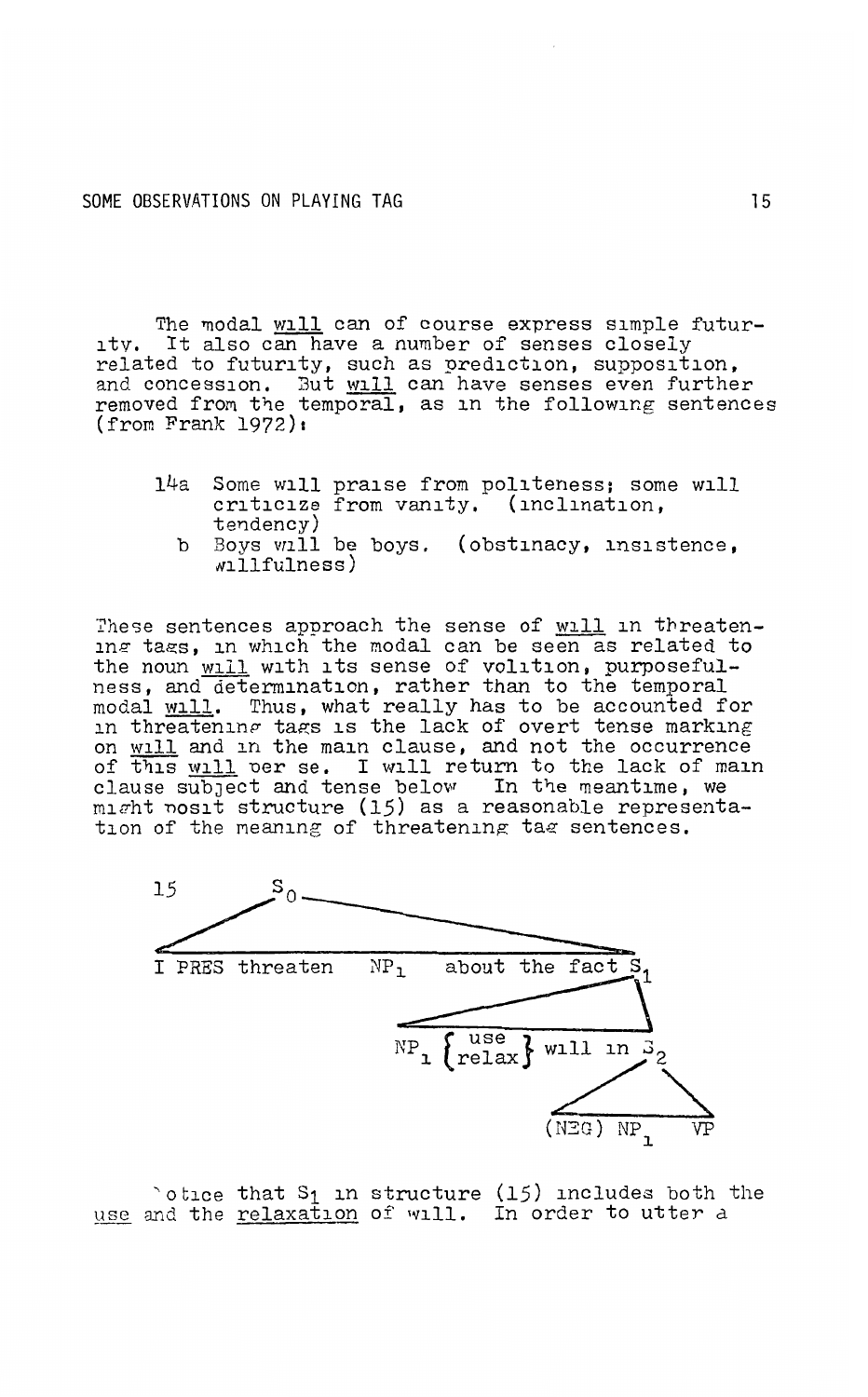The modal will can of course express simple futur-<br>ity. It also can have a number of senses closely if the modal will can be course express simple radar<br>ity. It also can have a number of senses closely<br>related to futurity, such as prediction, supposition, and concession. But will can have senses even further removed from the temporal, as in the following sentences (from Frank 1972)1

- 14a Some will praise from politeness; some will criticize from vanity. (inclination, tendency)
	- b Boys vrill be boys. (obstinacy, insistence, Nillfulness)

These sentences approach the sense of will in threatening tags, in which the modal can be seen as related to the noun will with its sense of volition, purposeful-<br>ness, and determination, rather than to the temporal ness, and determination, rather than to the temporal modal will. Thus, what really has to be accounted for in threatening tags is the lack of overt tense marking on will and in the main clause, and not the occurrence of this will per se. I will return to the lack of main clause subject and tense below In the meantime, we might nosit structure (15) as a reasonable representa-<br>tion of the meaning of threatening tag sentences.



 $\circ$  otice that S<sub>1</sub> in structure (15) includes both the use and the relaxation of will. In order to utter a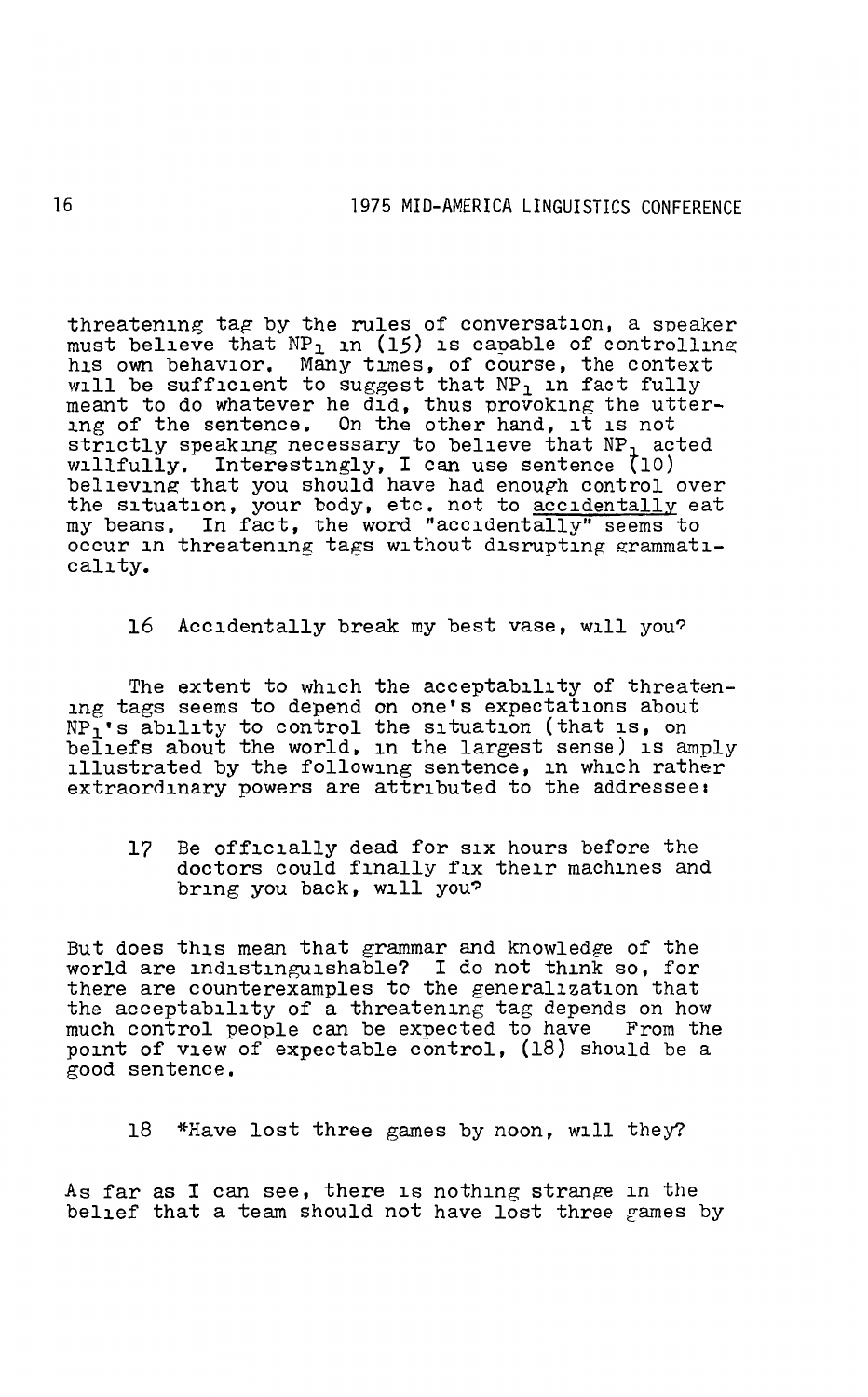threatening tag by the rules of conversation, a speaker must believe that NP<sub>1</sub> in (15) is capable of controlling his own behavior. Many times, of course, the context will be sufficient to suggest that NP<sub>1</sub> in fact fully meant to do whatever he did, thus provoking the utter-<br>ing of the sentence. On the other hand, it is not strictly speaking necessary to believe that NP<sub>1</sub> acted willfully. Interestingly, I can use sentence (10) believing that you should have had enough control over the situation, your body, etc. not to accidentally eat my beans. In fact, the word "accidentally" seems to occur in threatening tags without disrupting grammaticality.

16 Accidentally break my best vase, will you?

The extent to which the acceptability of threatening tags seems to depend on one's expectations about NP<sub>1</sub>'s ability to control the situation (that is, on beliefs about the world, in the largest sense) is amply illustrated by the following sentence, in which rather illustrated by the following sentence, in which rather extraordinary powers are attributed to the addressee:

17 Be officially dead for six hours before the doctors could finally fix their machines and bring you back, will you?

But does this mean that grammar and knowledge of the world are indistinguishable? I do not think so, for there are counterexamples to the generalization that the acceptability of a threatening tag depends on how<br>much control people can be expected to have From the much control people can be expected to have point of view of expectable control, (18) should be a good sentence,

18 \*Have lost three games by noon, will they?

As far as I can see, there is nothing strange in the belief that a team should not have lost three games by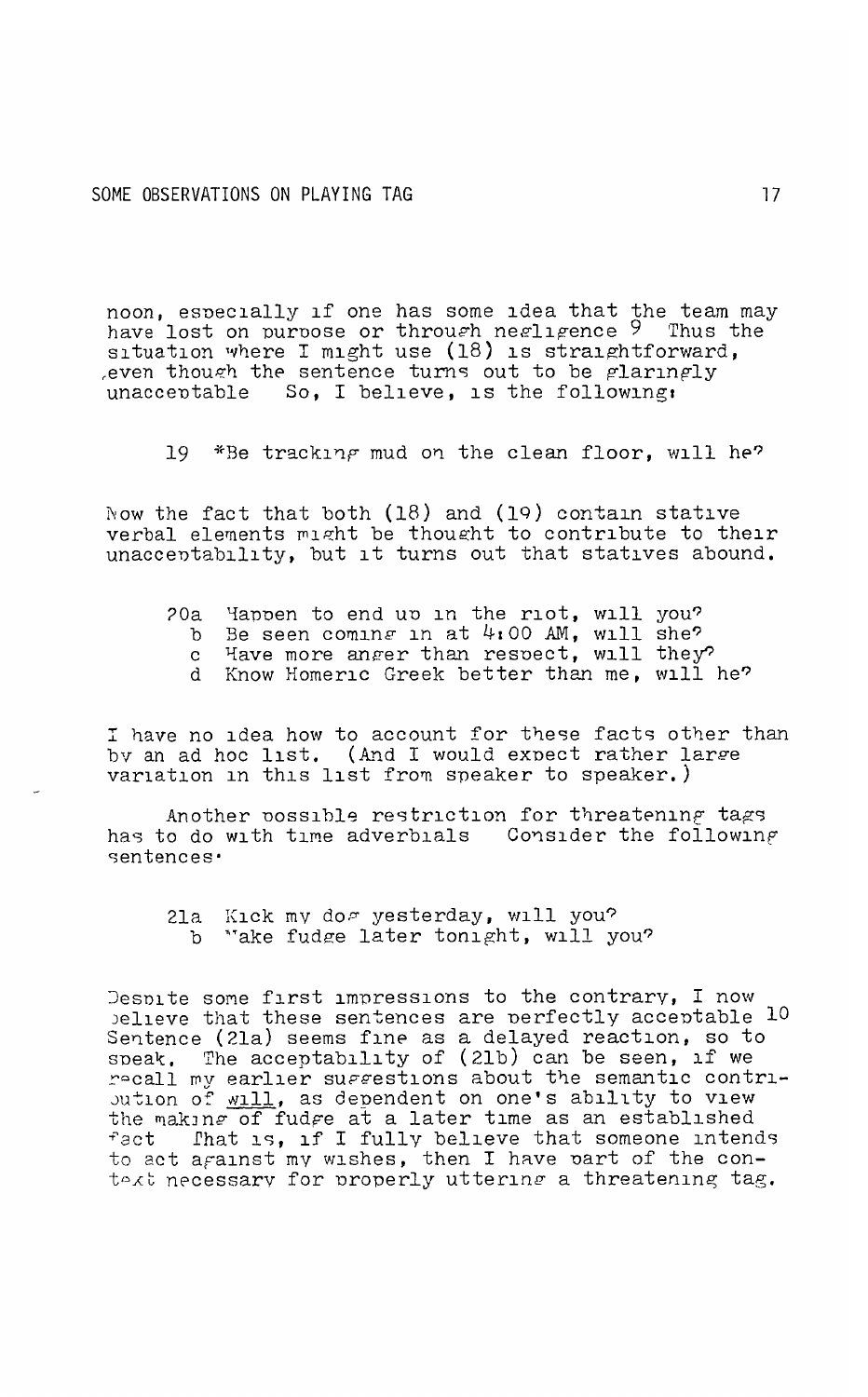noon, especially if one has some idea that the team may have lost on purpose or through negligence 9 Thus the situation where I might use (18) is straightforward, even though the sentence turns out to be glaringly unacceptable So. I believe, is the following,

19 \*Be tracking mud on the clean floor, will he?

Now the fact that both (18) and (19) contain stative verbal elements might be thought to contribute to their unacceptability, but it turns out that statives abound.

- 20a Happen to end up in the riot, will you?
	- b Be seen coming in at 4:00 AM, will she?<br>c Have more anger than respect, will they?
	-
	- d Know Homeric Greek better than me, will he?

I have no idea how to account for these facts other than by an ad hoc list. (And I would expect rather large variation in this list from speaker to speaker.)

Another possible restriction for threatening tags has to do with time adverbials Consider the following sentences·

21a Kick my dos yesterday, will you? b "ake fudge later tonight, will you?

Despite some first impressions to the contrary, I now believe that these sentences are perfectly acceptable 10 Sentence (21a) seems fine as a delayed reaction, so to speak. The acceptability of (21b) can be seen, if we recall my earlier suggestions about the semantic contribution of will, as dependent on one's ability to view the making of fudge at a later time as an established That is, if I fully believe that someone intends fact to act against my wishes, then I have part of the context necessary for properly uttering a threatening tag.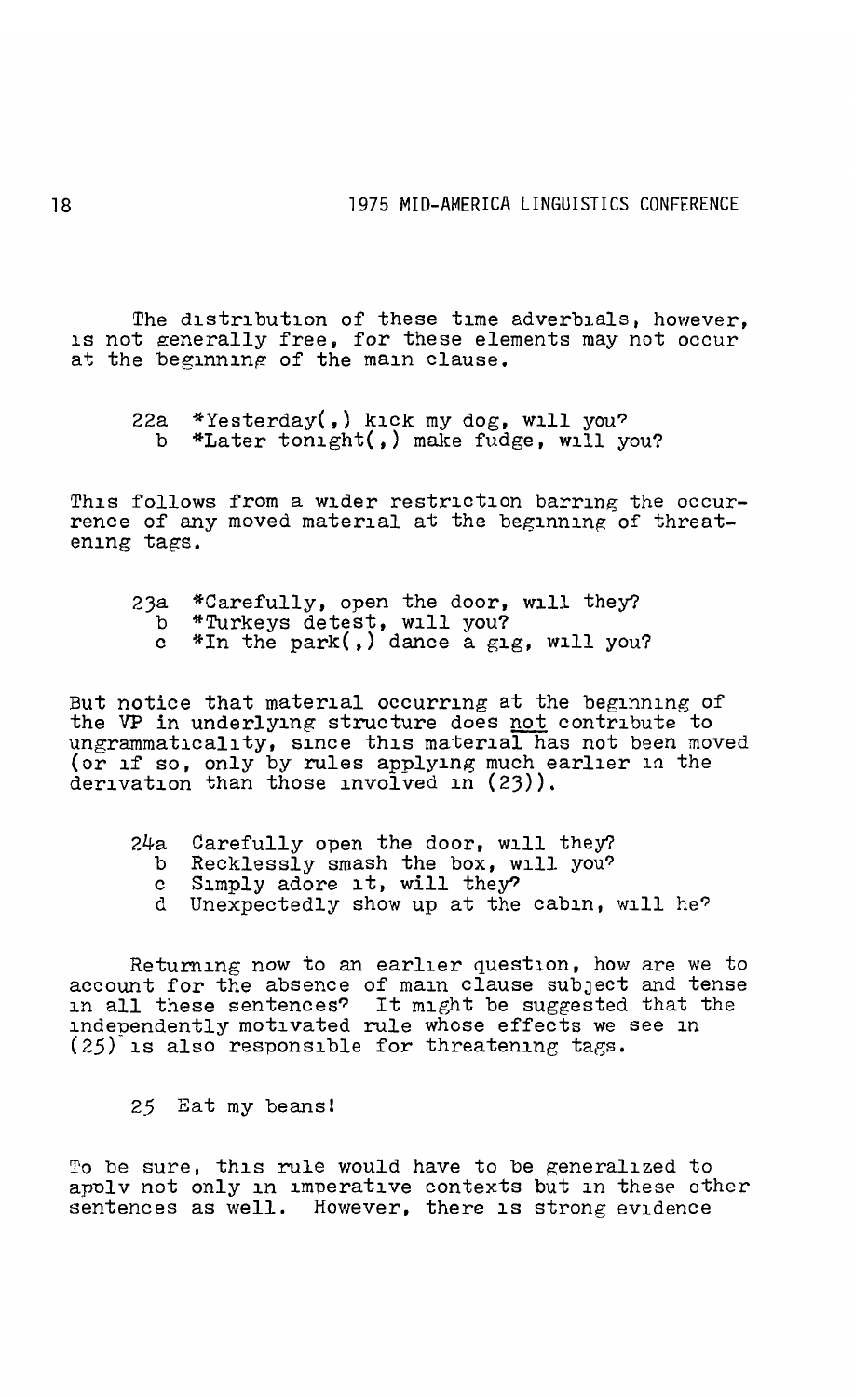The distribution of these time adverbials, however, is not generally free. for these elements may not occur at the beginning of the main clause.

22a \*Yesterday(,) kick my dog, will you? b \*Later tonight(,) make fudge, will you?

This follows from a wider restriction barring the occurrence of any moved material at the beginning of threatening tags.

- 23a \*Carefully, open the door, will they?<br>b \*Turkeys detest, will you?
	- c \*In the park(,) dance a gig, will you?

But notice that material occurring at the beginning of the VP in underlying structure does not contribute to ungrammaticality, since this material has not been moved (or if so, only by rules applying much earlier in the derivation than those involved in (23)).

- 24a Carefully open the door, will they?<br>b Recklessly smash the box, will you?<br>c Simply adore it, will they?
	-
	-
	- d Unexpectedly show up at the cabin, will he?

Returning now to an earlier question, how are we to account for the absence of main clause subJect and tense in all these sentences? It might be suggested that the independently motivated rule whose effects we see in (25) is also responsible for threatening tags.

*25* Eat my beans!

To be sure, this rule would have to be generalized to apply not only in imperative contexts but in these other sentences as well. However, there is strong evidence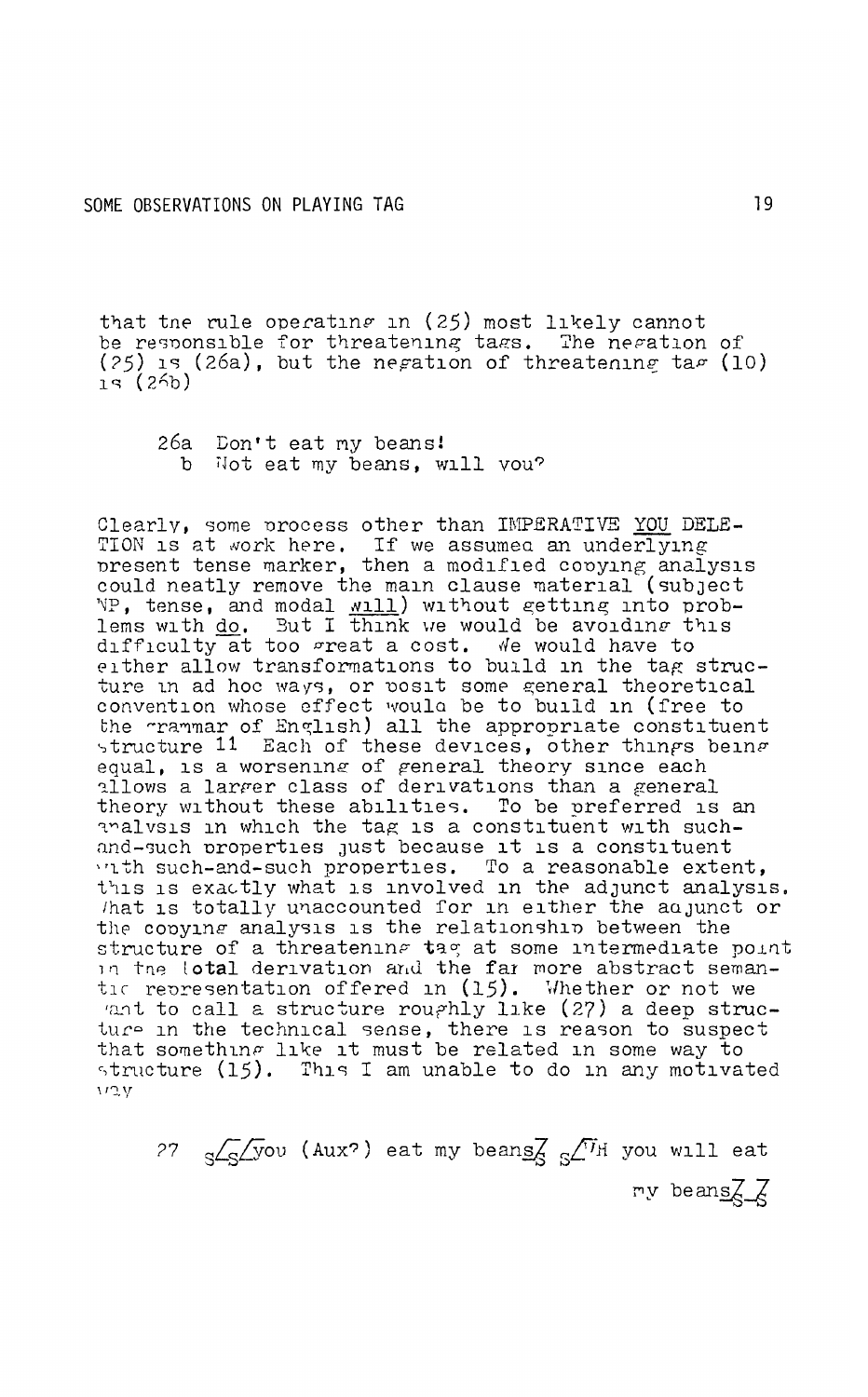that the rule operating in (25) most likely cannot be responsible for threatening tags. The negation of (25) is (26a), but the negation of threatening tag (10)  $15(25)$ 

26a Don't eat my beans! b Not eat my beans, will you?

Clearly, some process other than IMPERATIVE YOU DELE-TION is at work here. If we assumed an underlying<br>present tense marker, then a modified copying analysis<br>could neatly remove the main clause material (subject Source the set and modal will without getting into prob-<br>lems with <u>do</u>. But I think we would be avoiding this<br>difficulty at too great a cost. We would have to either allow transformations to build in the tag structure in ad hoc ways, or posit some general theoretical<br>convention whose effect would be to build in (free to<br>the gramar of English) all the appropriate constituent<br>structure 11 Each of these devices, other things being equal, is a worsening of general theory since each allows a larger class of derivations than a general theory without these abilities. To be preferred is an analvsis in which the tag is a constituent with suchand-such properties just because it is a constituent with such-and-such properties. To a reasonable extent, this is exactly what is involved in the adjunct analysis. that is totally unaccounted for in either the adjunct or the copying analysis is the relationship between the structure of a threatening tag at some intermediate point<br>in the lotal derivation and the far more abstract seman-<br>tic representation offered in (15). Whether or not we ant to call a structure roughly like (27) a deep structure in the technical sense, there is reason to suspect that something like it must be related in some way to structure (15). This I am unable to do in any motivated vov

27  $_{S}$   $\sqrt{S}$  (Aux<sup>2</sup>) eat my beans  $\sqrt{N}$  if you will eat my beans $\chi \chi$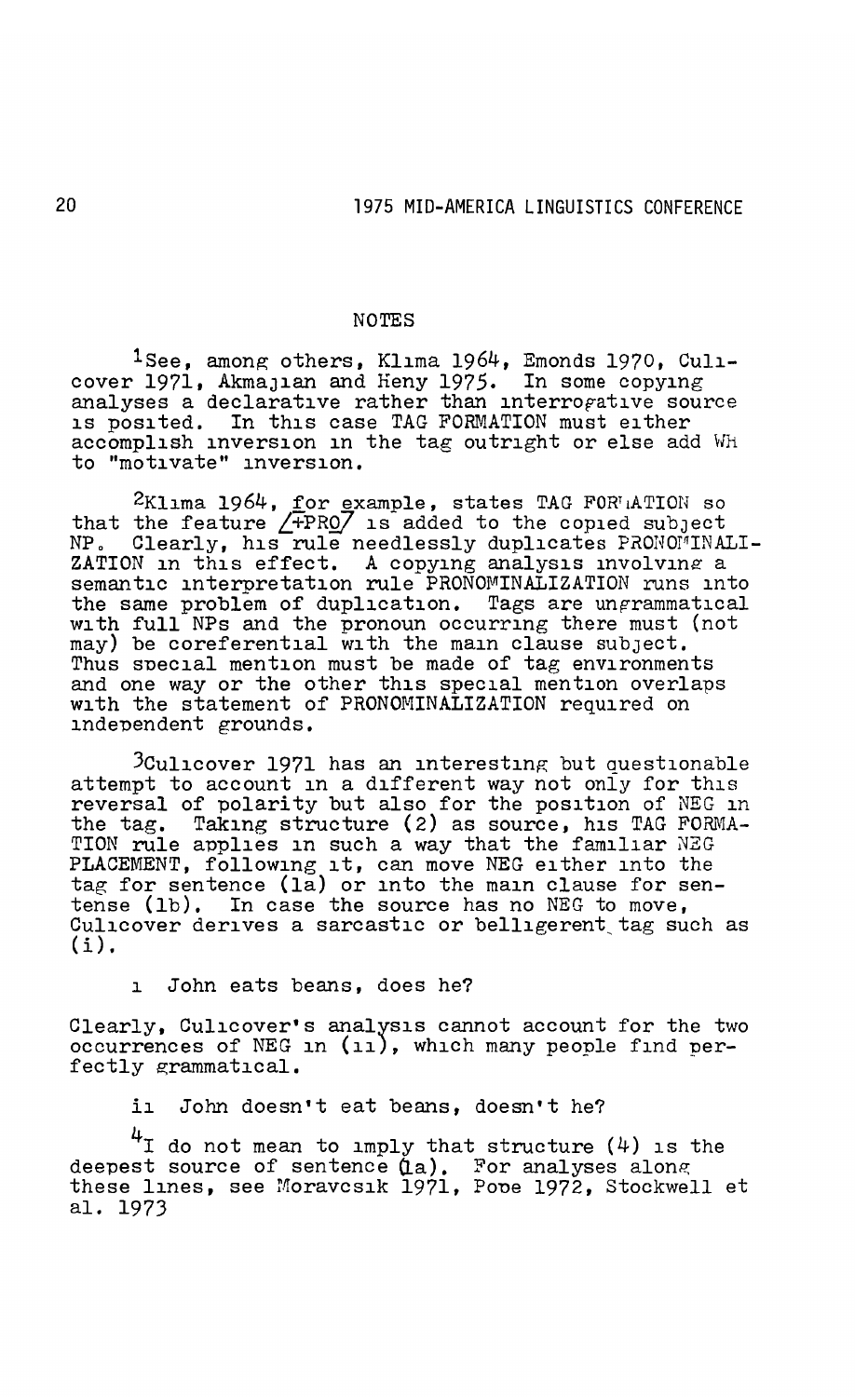## NOTES

<sup>1</sup>See, among others, Klima 1964, Emonds 1970, Culicover 1971, AkmaJian and Heny 1975. In some copying analyses a declarative rather than interrofative source is posited. In this case TAG FORMATION must either accomplish inversion in the tag outright or else add Wh to "motivate" inversion.

2Klima 1964, for example, states TAG FOR ATION so that the feature *L+PRQ7* is-added to the copied subJect NP. Clearly, his rule needlessly duplicates PRONOMINALI-ZATION in this effect. A copying analysis involving a semantic interpretation rule PRONOMINALIZATION runs into the same problem of duplication. Tags are ungrammatical with full NPs and the pronoun occurring there must (not may) be coreferential with the main clause subject. Thus special mention must be made of tag environments and one way or the other this special mention overlaps with the statement of PRONOMINALIZATION required on independent grounds.

 $3$ Culicover 1971 has an interesting but questionable attempt to account in a different way not only for this reversal of polarity but also for the position of NEG in the tag. Taking structure (2) as source, his TAG FORMA-TION rule applies in such a way that the familiar *NEG*  PLACEMENT, following it, can move NEG either into the tag for sentence (1a) or into the main clause for sentense (1b). In case the source has no NEG to move, Culicover derives a sarcastic or belligerent tag such as  $(i)$ .

i John eats beans, does he?

Clearly, Culicover•s analysis cannot account for the two occurrences of NEG in *(ii),* which many people find perfectly grammatical.

ii John doesn't eat beans, doesn't he?

 $4$ I do not mean to imply that structure  $(4)$  is the deepest source of sentence (La). For analyses along<br>these lines, see Moravcsik 1971, Pope 1972, Stockwell et al. 1973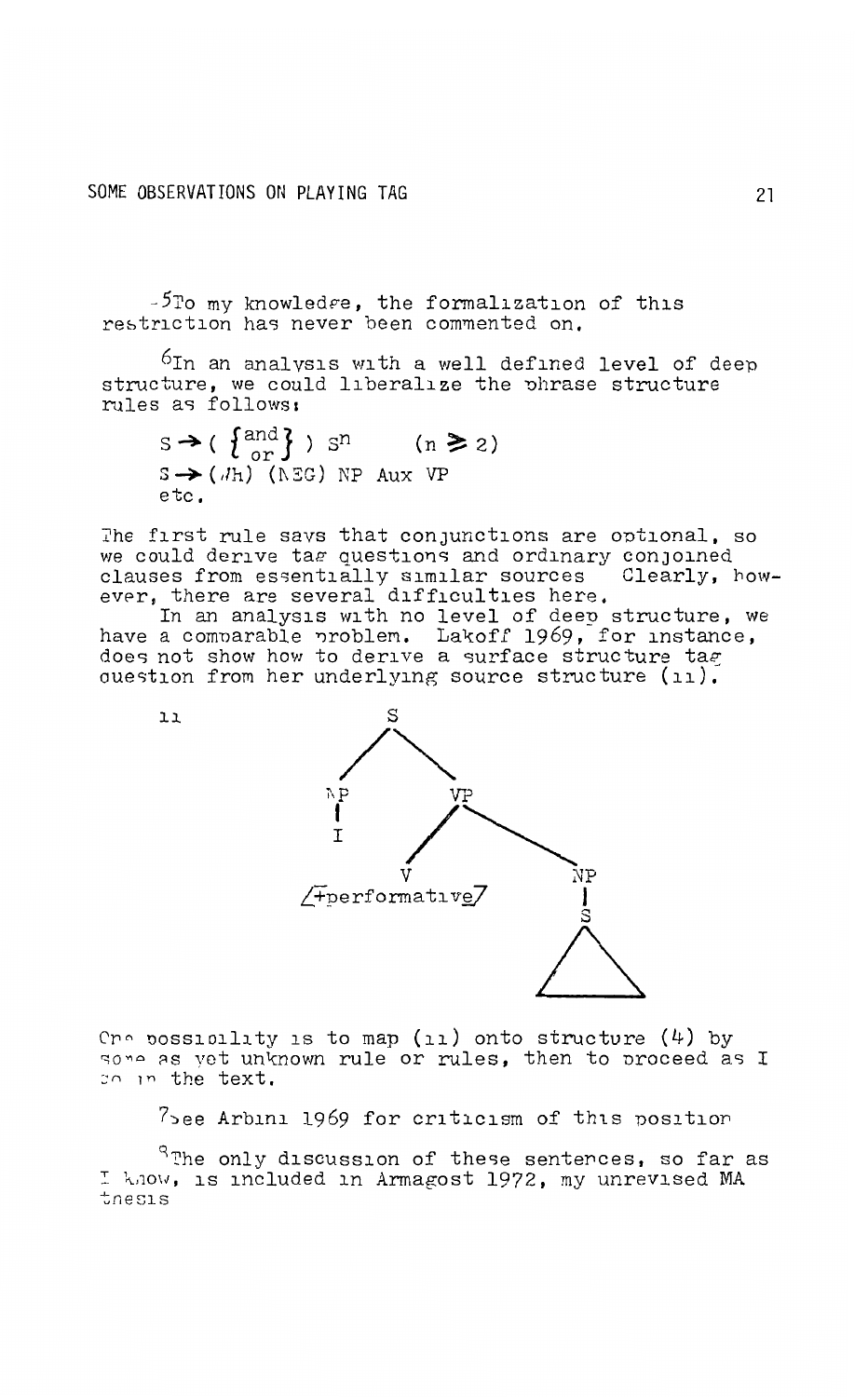## SOME OBSERVATIONS ON PLAYING TAG

 $11$ 

-5To my knowledge, the formalization of this restriction has never been commented on.

 $6$ In an analysis with a well defined level of deep structure, we could liberalize the phrase structure rules as follows:

 $s \rightarrow (\begin{cases} \text{and} \\ \text{or} \end{cases})$   $s^n$  (n  $\geq 2$ )  $S \rightarrow (Jh)$  (NEG) NP Aux VP etc.

The first rule savs that conjunctions are optional, so we could derive tag questions and ordinary conjoined clauses from essentially similar sources Clearly, however, there are several difficulties here.

In an analysis with no level of deep structure, we<br>have a comparable problem. Lakoff 1969, for instance, does not show how to derive a surface structure tag question from her underlying source structure (ii).



Cno possibility is to map (ii) onto structure  $(4)$  by some as yet unknown rule or rules, then to proceed as I so in the text.

7see Arbini 1969 for criticism of this position

 $R$ The only discussion of these senterces, so far as I know, is included in Armagost 1972, my unrevised MA tnesis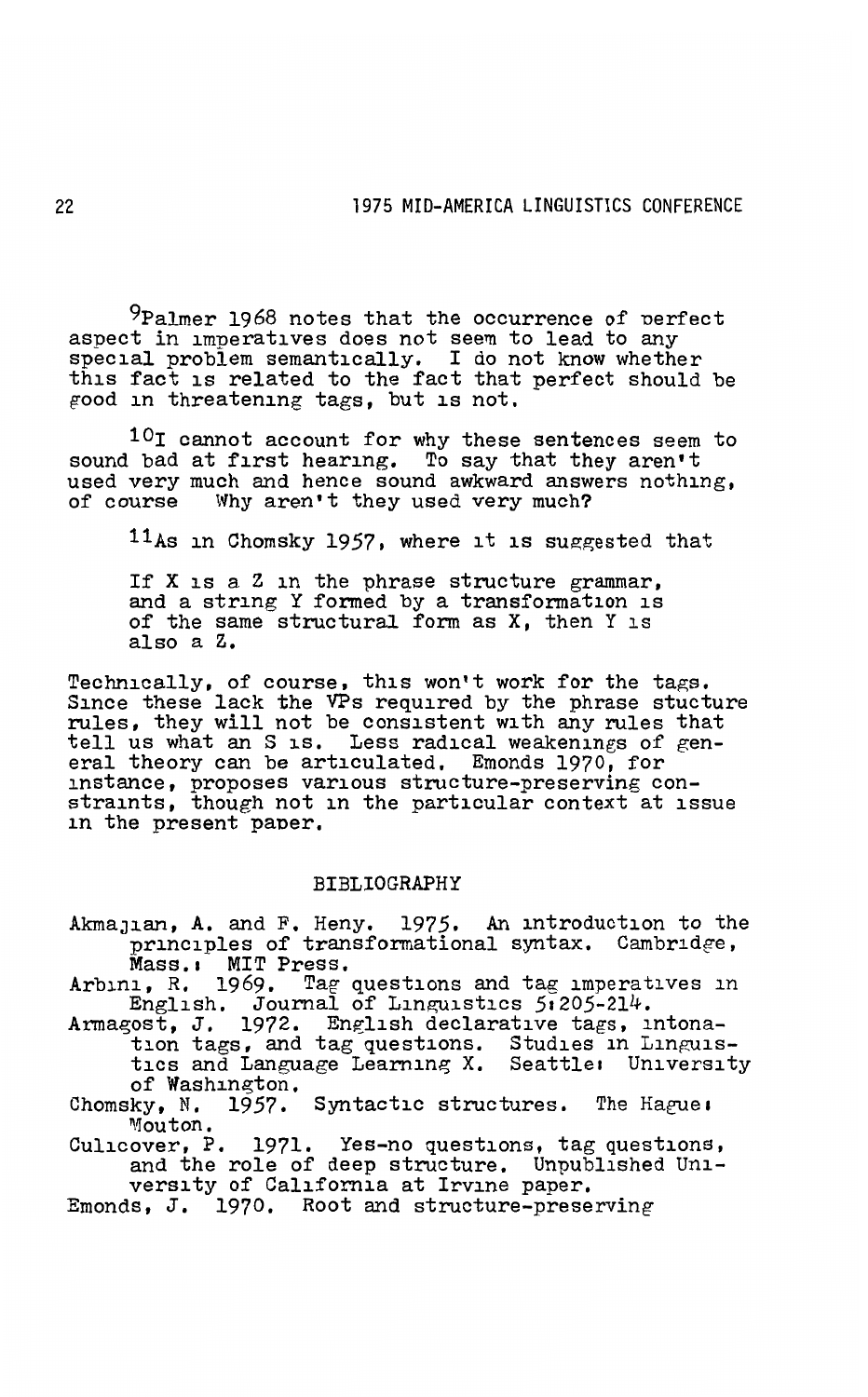<sup>9</sup>Palmer 1968 notes that the occurrence of perfect aspect in imperatives does not seem to lead to any special problem semantically. I do not know whether this fact is related to the fact that perfect should be good in threatening tags, but is not.

10I cannot account for why these sentences seem to sound bad at first hearing. To say that they aren't used very much and hence sound awkward answers nothing, of course Why aren't they used very much?

11As in Chomsky 1957, where it is suggested that

If X is a Z in the phrase structure grammar, and a string Y formed by a transformation is of the same structural form as X, then Y is also a z.

Technically, of course, this won't work for the tags. Since these lack the VPs required by the phrase stucture rules, they will not be consistent with any rules that tell us what an S is. Less radical weakenings of gen- eral theory can be articulated, Emonds 1970, for instance, proposes various structure-preserving con-straints, though not in the particular context at issue in the present paper.

## BIBLIOGRAPHY

AkmaJian, A. and F. Heny. 1975. An introduction to the principles of transformational syntax. Cambridge, Mass. MIT Press.<br>Arbini, R. 1969. Tag questions and tag imperatives in

English. Journal of Linguistics 51205-214.

Armagost, J. 1972. English declarative tags, intonation tags, and tag questions. Studies in Linguis-<br>tics and Language Learning X. Seattle: University<br>of Washington. of Washington.<br>Chomsky, N. 1957. Syntactic structures. The Hague:

Mouton.

Culicover, P. 1971. Yes-no questions, tag questions, and the role of deep structure. Unpublished Uni-<br>versity of California at Irvine paper.

Emonds, J. 1970. Root and structure-preserving